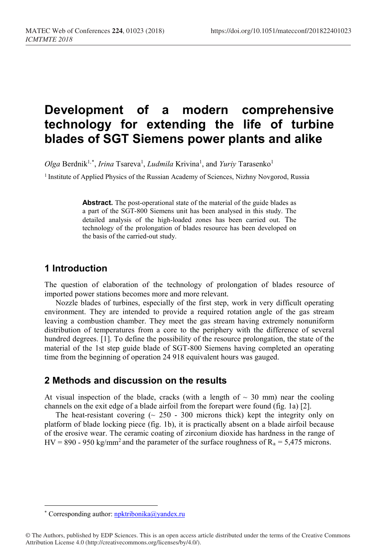# **Development of a modern comprehensive technology for extending the life of turbine blades of SGT Siemens power plants and alike**

Olga Berdnik<sup>1,[\\*](#page-0-0)</sup>, *Irina* Tsareva<sup>1</sup>, *Ludmila* Krivina<sup>1</sup>, and *Yuriy* Tarasenko<sup>1</sup>

<sup>1</sup> Institute of Applied Physics of the Russian Academy of Sciences, Nizhny Novgorod, Russia

**Abstract.** The post-operational state of the material of the guide blades as a part of the SGT-800 Siemens unit has been analysed in this study. The detailed analysis of the high-loaded zones has been carried out. The technology of the prolongation of blades resource has been developed on the basis of the carried-out study.

#### **1 Introduction**

The question of elaboration of the technology of prolongation of blades resource of imported power stations becomes more and more relevant.

Nozzle blades of turbines, especially of the first step, work in very difficult operating environment. They are intended to provide a required rotation angle of the gas stream leaving a combustion chamber. They meet the gas stream having extremely nonuniform distribution of temperatures from a core to the periphery with the difference of several hundred degrees. [1]. To define the possibility of the resource prolongation, the state of the material of the 1st step guide blade of SGT-800 Siemens having completed an operating time from the beginning of operation 24 918 equivalent hours was gauged.

#### **2 Methods and discussion on the results**

At visual inspection of the blade, cracks (with a length of  $\sim$  30 mm) near the cooling channels on the exit edge of a blade airfoil from the forepart were found (fig. 1a) [2].

The heat-resistant covering  $($   $\sim$  250 - 300 microns thick) kept the integrity only on platform of blade locking piece (fig. 1b), it is practically absent on a blade airfoil because of the erosive wear. The ceramic coating of zirconium dioxide has hardness in the range of HV = 890 - 950 kg/mm<sup>2</sup> and the parameter of the surface roughness of  $R_a = 5,475$  microns.

l

<span id="page-0-0"></span><sup>\*</sup> Corresponding author[: npktribonika@yandex.ru](mailto:npktribonika@yandex.ru)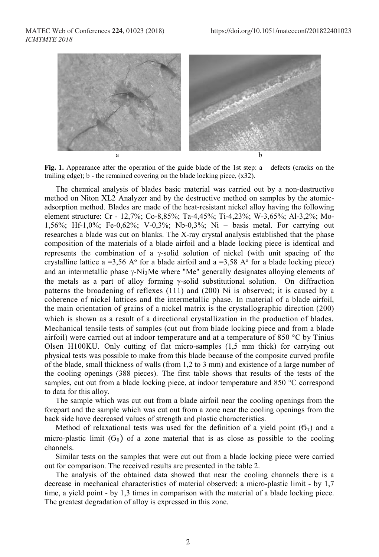

**Fig. 1.** Appearance after the operation of the guide blade of the 1st step: a – defects (cracks on the trailing edge);  $b$  - the remained covering on the blade locking piece,  $(x32)$ .

The chemical analysis of blades basic material was carried out by a non-destructive method on Niton XL2 Analyzer and by the destructive method on samples by the atomicadsorption method. Blades are made of the heat-resistant nickel alloy having the following element structure: Cr - 12,7%; Co-8,85%; Ta-4,45%; Ti-4,23%; W-3,65%; Al-3,2%; Mo-1,56%; Hf-1,0%; Fe-0,62%; V-0,3%; Nb-0,3%; Ni – basis metal. For carrying out researches a blade was cut on blanks. The X-ray crystal analysis established that the phase composition of the materials of a blade airfoil and a blade locking piece is identical and represents the combination of a γ-solid solution of nickel (with unit spacing of the crystalline lattice a =3,56 A $\degree$  for a blade airfoil and a =3,58 A $\degree$  for a blade locking piece) and an intermetallic phase  $\gamma$ -Ni<sub>3</sub>Me where "Me" generally designates alloying elements of the metals as a part of alloy forming γ-solid substitutional solution. On diffraction patterns the broadening of reflexes (111) and (200) Ni is observed; it is caused by a coherence of nickel lattices and the intermetallic phase. In material of a blade airfoil, the main orientation of grains of a nickel matrix is the crystallographic direction (200) which is shown as a result of a directional crystallization in the production of blades. Mechanical tensile tests of samples (cut out from blade locking piece and from a blade airfoil) were carried out at indoor temperature and at a temperature of 850  $\degree$ C by Tinius Olsen H100KU. Only cutting of flat micro-samples (1,5 mm thick) for carrying out physical tests was possible to make from this blade because of the composite curved profile of the blade, small thickness of walls (from 1,2 to 3 mm) and existence of a large number of the cooling openings (388 pieces). The first table shows that results of the tests of the samples, cut out from a blade locking piece, at indoor temperature and 850 °C correspond to data for this alloy.

The sample which was cut out from a blade airfoil near the cooling openings from the forepart and the sample which was cut out from a zone near the cooling openings from the back side have decreased values of strength and plastic characteristics.

Method of relaxational tests was used for the definition of a yield point  $(6<sub>r</sub>)$  and a micro-plastic limit  $(6<sub>0</sub>)$  of a zone material that is as close as possible to the cooling channels.

Similar tests on the samples that were cut out from a blade locking piece were carried out for comparison. The received results are presented in the table 2.

The analysis of the obtained data showed that near the cooling channels there is a decrease in mechanical characteristics of material observed: a micro-plastic limit - by 1,7 time, a yield point - by 1,3 times in comparison with the material of a blade locking piece. The greatest degradation of alloy is expressed in this zone.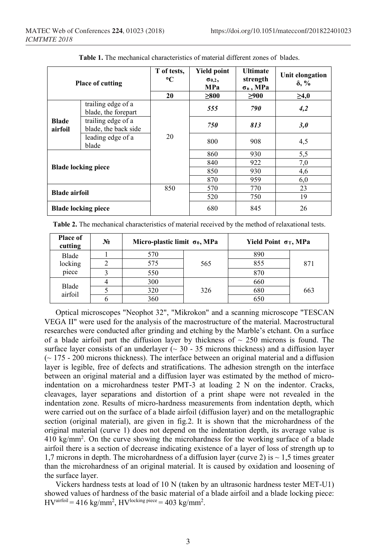| <b>Place of cutting</b>    |                                            | T of tests,<br>$\mathbf{C}$<br>20 | <b>Yield point</b><br>$\sigma_{0,2}$<br>MPa<br>>800 | <b>Ultimate</b><br>strength<br>$\sigma$ в, МРа<br>>900 | Unit elongation<br>$\delta$ , %<br>$\geq 4.0$ |
|----------------------------|--------------------------------------------|-----------------------------------|-----------------------------------------------------|--------------------------------------------------------|-----------------------------------------------|
| <b>Blade</b><br>airfoil    | trailing edge of a<br>blade, the forepart  |                                   | 555                                                 | 790                                                    | 4,2                                           |
|                            | trailing edge of a<br>blade, the back side |                                   | 750                                                 | 813                                                    | 3,0                                           |
|                            | leading edge of a<br>blade                 | 20                                | 800                                                 | 908                                                    | 4,5                                           |
| <b>Blade locking piece</b> |                                            |                                   | 860                                                 | 930                                                    | 5,5                                           |
|                            |                                            |                                   | 840                                                 | 922                                                    | 7,0                                           |
|                            |                                            |                                   | 850                                                 | 930                                                    | 4,6                                           |
|                            |                                            |                                   | 870                                                 | 959                                                    | 6,0                                           |
| <b>Blade airfoil</b>       |                                            | 850                               | 570                                                 | 770                                                    | 23                                            |
|                            |                                            |                                   | 520                                                 | 750                                                    | 19                                            |
| <b>Blade locking piece</b> |                                            |                                   | 680                                                 | 845                                                    | 26                                            |

**Table 1.** The mechanical characteristics of material different zones of blades.

| <b>Table 2.</b> The mechanical characteristics of material received by the method of relaxational tests. |  |
|----------------------------------------------------------------------------------------------------------|--|
|----------------------------------------------------------------------------------------------------------|--|

| Place of<br>cutting | $N_2$ | Micro-plastic limit $\sigma_0$ , MPa |     | Yield Point $\sigma$ <sub>T</sub> , MPa |     |
|---------------------|-------|--------------------------------------|-----|-----------------------------------------|-----|
| Blade<br>locking    |       | 570                                  | 565 | 890                                     | 871 |
|                     |       | 575                                  |     | 855                                     |     |
| piece               |       | 550                                  |     | 870                                     |     |
|                     |       | 300                                  | 326 | 660                                     | 663 |
| Blade<br>airfoil    |       | 320                                  |     | 680                                     |     |
|                     |       | 360                                  |     | 650                                     |     |

Optical microscopes "Neophot 32", "Mikrokon" and a scanning microscope "TESCAN VEGA II" were used for the analysis of the macrostructure of the material. Macrostructural researches were conducted after grinding and etching by the Marble's etchant. On a surface of a blade airfoil part the diffusion layer by thickness of  $\sim 250$  microns is found. The surface layer consists of an underlayer ( $\sim$  30 - 35 microns thickness) and a diffusion layer  $\approx$  175 - 200 microns thickness). The interface between an original material and a diffusion layer is legible, free of defects and stratifications. The adhesion strength on the interface between an original material and a diffusion layer was estimated by the method of microindentation on a microhardness tester PMT-3 at loading 2 N on the indentor. Cracks, cleavages, layer separations and distortion of a print shape were not revealed in the indentation zone. Results of micro-hardness measurements from indentation depth, which were carried out on the surface of a blade airfoil (diffusion layer) and on the metallographic section (original material), are given in fig.2. It is shown that the microhardness of the original material (curve 1) does not depend on the indentation depth, its average value is 410 kg/mm2 . On the curve showing the microhardness for the working surface of a blade airfoil there is a section of decrease indicating existence of a layer of loss of strength up to 1,7 microns in depth. The microhardness of a diffusion layer (curve 2) is  $\sim$  1.5 times greater than the microhardness of an original material. It is caused by oxidation and loosening of the surface layer.

Vickers hardness tests at load of 10 N (taken by an ultrasonic hardness tester MET-U1) showed values of hardness of the basic material of a blade airfoil and a blade locking piece:  $\text{HV}^{\text{airfoil}} = 416 \text{ kg/mm}^2$ ,  $\text{HV}^{\text{locking piece}} = 403 \text{ kg/mm}^2$ .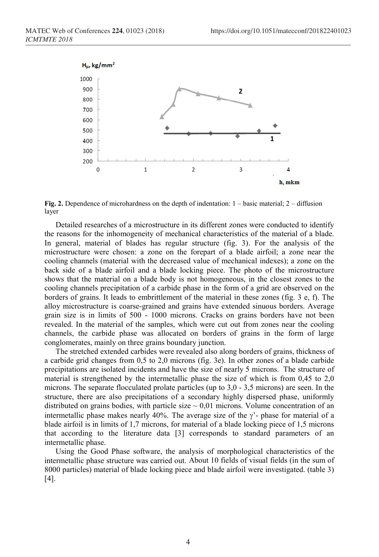

**Fig. 2.** Dependence of microhardness on the depth of indentation: 1 – basic material; 2 – diffusion layer

Detailed researches of a microstructure in its different zones were conducted to identify the reasons for the inhomogeneity of mechanical characteristics of the material of a blade. In general, material of blades has regular structure (fig. 3). For the analysis of the microstructure were chosen: a zone on the forepart of a blade airfoil; a zone near the cooling channels (material with the decreased value of mechanical indexes); a zone on the back side of a blade airfoil and a blade locking piece. The photo of the microstructure shows that the material on a blade body is not homogeneous, in the closest zones to the cooling channels precipitation of a carbide phase in the form of a grid are observed on the borders of grains. It leads to embrittlement of the material in these zones (fig. 3 e, f). The alloy microstructure is coarse-grained and grains have extended sinuous borders. Average grain size is in limits of 500 - 1000 microns. Cracks on grains borders have not been revealed. In the material of the samples, which were cut out from zones near the cooling channels, the carbide phase was allocated on borders of grains in the form of large conglomerates, mainly on three grains boundary junction.

The stretched extended carbides were revealed also along borders of grains, thickness of a carbide grid changes from 0,5 to 2,0 microns (fig. 3e). In other zones of a blade carbide precipitations are isolated incidents and have the size of nearly 5 microns. The structure of material is strengthened by the intermetallic phase the size of which is from 0,45 to 2,0 microns. The separate flocculated prolate particles (up to 3,0 - 3,5 microns) are seen. In the structure, there are also precipitations of a secondary highly dispersed phase, uniformly distributed on grains bodies, with particle size  $\sim 0.01$  microns. Volume concentration of an intermetallic phase makes nearly 40%. The average size of the  $\gamma$ - phase for material of a blade airfoil is in limits of 1,7 microns, for material of a blade locking piece of 1,5 microns that according to the literature data [3] corresponds to standard parameters of an intermetallic phase.

Using the Good Phase software, the analysis of morphological characteristics of the intermetallic phase structure was carried out. About 10 fields of visual fields (in the sum of 8000 particles) material of blade locking piece and blade airfoil were investigated. (table 3) [4].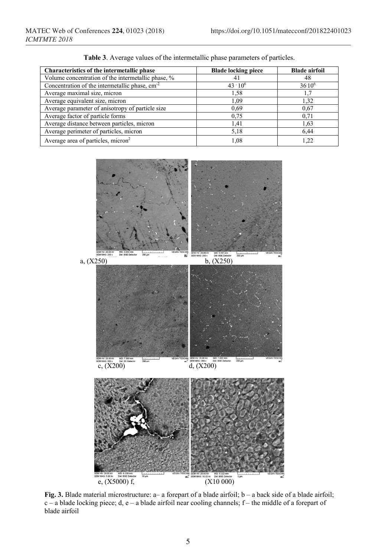| Characteristics of the intermetallic phase         | <b>Blade locking piece</b> | <b>Blade airfoil</b> |  |
|----------------------------------------------------|----------------------------|----------------------|--|
| Volume concentration of the intermetallic phase, % | 41                         | 48                   |  |
| Concentration of the intermetallic phase, $cm-2$   | $43 \cdot 10^{6}$          | $36.10^{6}$          |  |
| Average maximal size, micron                       | 1,58                       |                      |  |
| Average equivalent size, micron                    | 1,09                       | 1.32                 |  |
| Average parameter of anisotropy of particle size   | 0.69                       | 0.67                 |  |
| Average factor of particle forms                   | 0.75                       | 0,71                 |  |
| Average distance between particles, micron         | 1,41                       | 1,63                 |  |
| Average perimeter of particles, micron             | 5,18                       | 6.44                 |  |
| Average area of particles, micron <sup>2</sup>     | 1.08                       |                      |  |

**Table 3**. Average values of the intermetallic phase parameters of particles.



**Fig. 3.** Blade material microstructure: a– a forepart of a blade airfoil; b – a back side of a blade airfoil;  $c - a$  blade locking piece; d, e – a blade airfoil near cooling channels; f – the middle of a forepart of blade airfoil